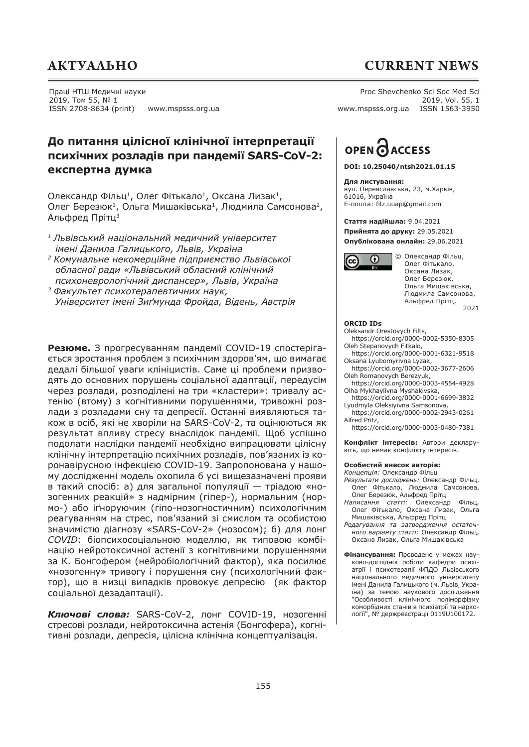## **АКТУАЛЬНО CURRENT NEWS**

### Праці НТШ Медичні науки 2019, Том 55, № 1 ISSN 2708-8634 (print) www.mspsss.org.ua

Proc Shevchenko Sci Soc Med Sci 2019, Vol. 55, 1 www.mspsss.org.ua ISSN 1563-3950

### **До питання цілісної клінічної інтерпретації психічних розладів при пандемії SARS-CoV-2: експертна думка**

Олександр Фільц<sup>1</sup>, Олег Фітькало<sup>1</sup>, Оксана Лизак<sup>1</sup>, Олег Березюк<sup>1</sup>, Ольга Мишаківська<sup>1</sup>, Людмила Самсонова<sup>2</sup>, Альфред Прітц<sup>3</sup>

- *<sup>1</sup>Львівський національний медичний університет імені Данила Галицького, Львів, Україна*
- *<sup>2</sup>Комунальне некомерційне підприємство Львівської обласної ради «Львівський обласний клінічний психоневрологічний диспансер», Львів, Україна*
- *<sup>3</sup>Факультет психотерапевтичних наук, Університет імені Зиґмунда Фройда, Відень, Австрія*

**Резюме.** З прогресуванням пандемії COVID-19 спостерігається зростання проблем з психічним здоров'ям, що вимагає дедалі більшої уваги клініцистів. Саме ці проблеми призводять до основних порушень соціальної адаптації, передусім через розлади, розподілені на три «кластери»: тривалу астенію (втому) з когнітивними порушеннями, тривожні розлади з розладами сну та депресії. Останні виявляються також в осіб, які не хворіли на SARS-CoV-2, та оцінюються як результат впливу стресу внаслідок пандемії. Щоб успішно подолати наслідки пандемії необхідно випрацювати цілісну клінічну інтерпретацію психічних розладів, пов'язаних із коронавірусною інфекцією COVID-19. Запропонована у нашому дослідженні модель охопила б усі вищезазначені прояви в такий спосіб: а) для загальної популяції — тріадою «нозогенних реакцій» з надмірним (гіпер-), нормальним (нормо-) або іґноруючим (гіпо-нозогностичним) психологічним реагуванням на стрес, пов'язаний зі смислом та особистою значимістю діагнозу «SARS-CoV-2» (нозосом); б) для лонг *COVID*: біопсихосоціальною моделлю, як типовою комбінацію нейротоксичної астенії з когнітивними порушеннями за К. Бонгофером (нейробіологічний фактор), яка посилює «нозогенну» тривогу і порушення сну (психологічний фактор), що в низці випадків провокує депресію (як фактор соціальної дезадаптації).

*Ключові слова:* SARS-CoV-2, лонг COVID-19, нозогенні стресові розлади, нейротоксична астенія (Бонгофера), когнітивні розлади, депресія, цілісна клінічна концептуалізація.

## OPEN O ACCESS

**DOI: 10.25040/ntsh2021.01.15**

**Для листування:** вул. Переяславська, 23, м.Харків, 61016, Україна Е-пошта: fi lz.uuap@gmail.com

**Стаття надійшла:** 9.04.2021 **Прийнята до друку:** 29.05.2021 **Опублікована онлайн:** 29.06.2021



 © Олександр Фільц, Олег Фітькало, Оксана Лизак, Олег Березюк, Ольга Мишаківcька, Людмила Самсонова, Альфред Прітц, 2021

### **ORCID IDs**

Oleksandr Orestovych Filts,

https://orcid.org/0000-0002-5350-8305 Oleh Stepanovych Fitkalo,

- https://orcid.org/0000-0001-6321-9518 Oksana Lyubomyrivna Lyzak,
- https://orcid.org/0000-0002-3677-2606 Oleh Romanovych Berezyuk,
- https://orcid.org/0000-0003-4554-4928 Olha Mykhaylivna Myshakivska,
- https://orcid.org/0000-0001-6699-3832 Lyudmyla Oleksiyivna Samsonova,
- https://orcid.org/0000-0002-2943-0261 Alfred Pritz,

https://orcid.org/0000-0003-0480-7381

**Конфлікт інтересів:** Автори декларують, що немає конфлікту інтересів.

### **Особистий внесок авторів:**

- *Концепція:* Олександр Фільц *Результати досліджень:* Олександр Фільц, Олег Фітькало, Людмила Самсонова, Олег Березюк, Альфред Прітц
- *Написання статті:* Олександр Фільц, Олег Фітькало, Оксана Лизак, Ольга Мишаківська, Альфред Прітц
- *Редагування та затвердження остаточного варіанту статті:* Олександр Фільц, Оксана Лизак, Ольга Мишаківська
- **Фінансування:** Проведено у межах науково-дослідної роботи кафедри психіатрії і психотерапії ФПДО Львівського національного медичного університету імені Данила Галицького (м. Львів, Україна) за темою наукового дослідження "Особливості клінічного поліморфізму коморбідних станів в психіатрії та наркології", № держреєстрації 0119U100172.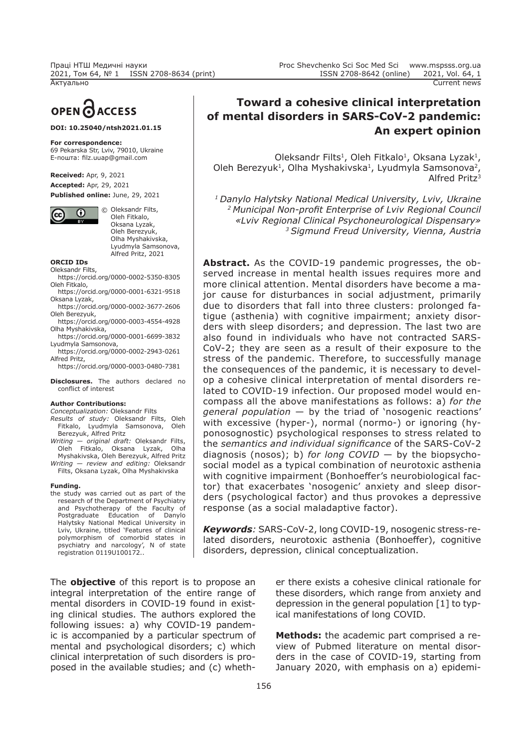Proc Shevchenko Sci Soc Med Sci www.mspsss.org.ua ISSN 2708-8642 (online) 2021, Vol. 64, 1 Актуально Current news

# OPEN CACCESS

### **DOI: 10.25040/ntsh2021.01.15**

#### **For correspondence:**

69 Pekarska Str, Lviv, 79010, Ukraine Е-пошта: fi lz.uuap@gmail.com

**Received:** Apr, 9, 2021 **Accepted:** Apr, 29, 2021 **Published online:** June, 29, 2021



 © Oleksandr Filts, Oleh Fitkalo, Oksana Lyzak, Oleh Berezyuk, Olha Myshakivska, Lyudmyla Samsonova, Alfred Pritz, 2021

**ORCID IDs** Oleksandr Filts,

- https://orcid.org/0000-0002-5350-8305 Oleh Fitkalo,
- https://orcid.org/0000-0001-6321-9518 Oksana Lyzak,
- https://orcid.org/0000-0002-3677-2606 Oleh Berezyuk,
- https://orcid.org/0000-0003-4554-4928 Olha Myshakivska,
- https://orcid.org/0000-0001-6699-3832 Lyudmyla Samsonova,
- https://orcid.org/0000-0002-2943-0261 Alfred Pritz,
- https://orcid.org/0000-0003-0480-7381
- **Disclosures.** The authors declared no conflict of interest

### **Author Contributions:**

- *Conceptualization:* Oleksandr Filts *Results of study:* Oleksandr Filts, Oleh Fitkalo, Lyudmyla Samsonova,
- Berezyuk, Alfred Pritz *Writing — original draft:* Oleksandr Filts,
- Oleh Fitkalo, Oksana Lyzak, Olha Myshakivska, Oleh Berezyuk, Alfred Pritz *Writing — review and editing:* Oleksandr
- Filts, Oksana Lyzak, Olha Myshakivska

### **Funding.**

the study was carried out as part of the research of the Department of Psychiatry and Psychotherapy of the Faculty of Postgraduate Education of Danylo Halytsky National Medical University in Lviv, Ukraine, titled 'Features of clinical polymorphism of comorbid states in psychiatry and narcology', N of state registration 0119U100172..

The **objective** of this report is to propose an integral interpretation of the entire range of mental disorders in COVID-19 found in existing clinical studies. The authors explored the following issues: a) why COVID-19 pandemic is accompanied by a particular spectrum of mental and psychological disorders; c) which clinical interpretation of such disorders is proposed in the available studies; and (c) wheth-

Oleksandr Filts<sup>1</sup>, Oleh Fitkalo<sup>1</sup>, Oksana Lyzak<sup>1</sup>, Oleh Berezyuk<sup>1</sup>, Olha Myshakivska<sup>1</sup>, Lyudmyla Samsonova<sup>2</sup>, Alfred Pritz3

*1 Danylo Halytsky National Medical University, Lviv, Ukraine*  <sup>2</sup> Municipal Non-profit Enterprise of Lviv Regional Council *«Lviv Regional Clinical Psychoneurological Dispensary» 3 Sigmund Freud University, Vienna, Austria*

**Аbstract.** As the COVID-19 pandemic progresses, the observed increase in mental health issues requires more and more clinical attention. Mental disorders have become a major cause for disturbances in social adjustment, primarily due to disorders that fall into three clusters: prolonged fatigue (asthenia) with cognitive impairment; anxiety disorders with sleep disorders; and depression. The last two are also found in individuals who have not contracted SARS-CoV-2; they are seen as a result of their exposure to the stress of the pandemic. Therefore, to successfully manage the consequences of the pandemic, it is necessary to develop a cohesive clinical interpretation of mental disorders related to COVID-19 infection. Our proposed model would encompass all the above manifestations as follows: а) *for the general population* — by the triad of 'nosogenic reactions' with excessive (hyper-), normal (normo-) or ignoring (hyponosognostic) psychological responses to stress related to the *semantics and individual significance* of the SARS-CoV-2 diagnosis (nosos); b) *for long COVID* — by the biopsychosocial model as a typical combination of neurotoxic asthenia with cognitive impairment (Bonhoeffer's neurobiological factor) that exacerbates 'nosogenic' anxiety and sleep disorders (psychological factor) and thus provokes a depressive response (as a social maladaptive factor).

*Keywords:* SARS-CoV-2, long COVID-19, nosogenic stress-related disorders, neurotoxic asthenia (Bonhoeffer), cognitive disorders, depression, clinical conceptualization.

> er there exists a cohesive clinical rationale for these disorders, which range from anxiety and depression in the general population [1] to typical manifestations of long COVID.

> **Methods:** the academic part comprised a review of Pubmed literature on mental disorders in the case of COVID-19, starting from January 2020, with emphasis on a) epidemi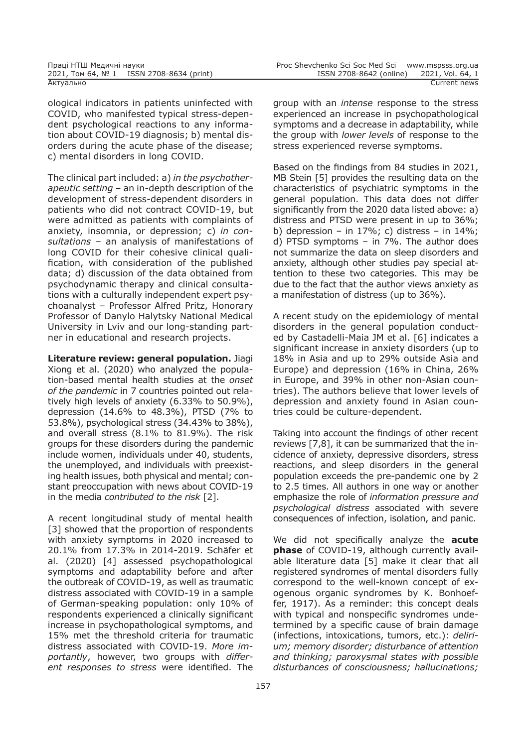ological indicators in patients uninfected with COVID, who manifested typical stress-dependent psychological reactions to any information about COVID-19 diagnosis; b) mental disorders during the acute phase of the disease; c) mental disorders in long COVID.

The clinical part included: a) *in the psychotherapeutic setting –* an in-depth description of the development of stress-dependent disorders in patients who did not contract COVID-19, but were admitted as patients with complaints of anxiety, insomnia, or depression; c) *in consultations –* an analysis of manifestations of long COVID for their cohesive clinical qualification, with consideration of the published data; d) discussion of the data obtained from psychodynamic therapy and clinical consultations with a culturally independent expert psychoanalyst – Professor Alfred Pritz, Honorary Professor of Danylo Halytsky National Medical University in Lviv and our long-standing partner in educational and research projects.

**Literature review: general population.** Jiagi Xiong et al. (2020) who analyzed the population-based mental health studies at the *onset of the pandemic* in 7 countries pointed out relatively high levels of anxiety (6.33% to 50.9%), depression (14.6% to 48.3%), PTSD (7% to 53.8%), psychological stress (34.43% to 38%), and overall stress (8.1% to 81.9%). The risk groups for these disorders during the pandemic include women, individuals under 40, students, the unemployed, and individuals with preexisting health issues, both physical and mental; constant preoccupation with news about COVID-19 in the media *contributed to the risk* [2].

A recent longitudinal study of mental health [3] showed that the proportion of respondents with anxiety symptoms in 2020 increased to 20.1% from 17.3% in 2014-2019. Schäfer et al. (2020) [4] assessed psychopathological symptoms and adaptability before and after the outbreak of COVID-19, as well as traumatic distress associated with COVID-19 in a sample of German-speaking population: only 10% of respondents experienced a clinically significant increase in psychopathological symptoms, and 15% met the threshold criteria for traumatic distress associated with COVID-19. *More importantly*, however, two groups with *different responses to stress* were identified. The

group with an *intense* response to the stress experienced an increase in psychopathological symptoms and a decrease in adaptability, while the group with *lower levels* of response to the stress experienced reverse symptoms.

Based on the findings from 84 studies in 2021, MB Stein [5] provides the resulting data on the characteristics of psychiatric symptoms in the general population. This data does not differ significantly from the 2020 data listed above: a) distress and PTSD were present in up to 36%; b) depression – in  $17\%$ ; c) distress – in  $14\%$ ; d) PTSD symptoms – in 7%. The author does not summarize the data on sleep disorders and anxiety, although other studies pay special attention to these two categories. This may be due to the fact that the author views anxiety as a manifestation of distress (up to 36%).

A recent study on the epidemiology of mental disorders in the general population conducted by Castadelli-Maia JM et al. [6] indicates a significant increase in anxiety disorders (up to 18% in Asia and up to 29% outside Asia and Europe) and depression (16% in China, 26% in Europe, and 39% in other non-Asian countries). The authors believe that lower levels of depression and anxiety found in Asian countries could be culture-dependent.

Taking into account the findings of other recent reviews [7,8], it can be summarized that the incidence of anxiety, depressive disorders, stress reactions, and sleep disorders in the general population exceeds the pre-pandemic one by 2 to 2.5 times. All authors in one way or another emphasize the role of *information pressure and psychological distress* associated with severe consequences of infection, isolation, and panic.

We did not specifically analyze the **acute phase** of COVID-19, although currently available literature data [5] make it clear that all registered syndromes of mental disorders fully correspond to the well-known concept of exogenous organic syndromes by K. Bonhoeffer, 1917). As a reminder: this concept deals with typical and nonspecific syndromes undetermined by a specific cause of brain damage (infections, intoxications, tumors, etc.): *delirium; memory disorder; disturbance of attention and thinking; paroxysmal states with possible disturbances of consciousness; hallucinations;*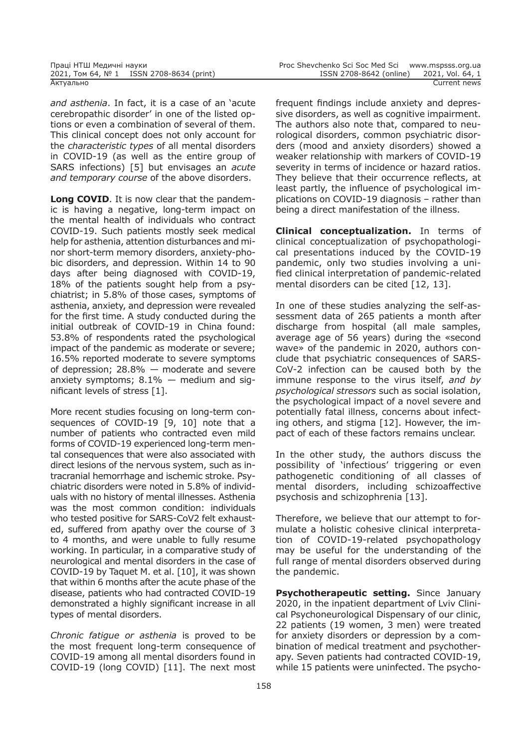*and asthenia*. In fact, it is a case of an 'acute cerebropathic disorder' in one of the listed options or even a combination of several of them. This clinical concept does not only account for the *characteristic types* of all mental disorders in СOVID-19 (as well as the entire group of SARS infections) [5] but envisages an *acute and temporary course* of the above disorders.

**Long COVID**. It is now clear that the pandemic is having a negative, long-term impact on the mental health of individuals who contract COVID-19. Such patients mostly seek medical help for asthenia, attention disturbances and minor short-term memory disorders, anxiety-phobic disorders, and depression. Within 14 to 90 days after being diagnosed with COVID-19, 18% of the patients sought help from a psychiatrist; in 5.8% of those cases, symptoms of asthenia, anxiety, and depression were revealed for the first time. A study conducted during the initial outbreak of COVID-19 in China found: 53.8% of respondents rated the psychological impact of the pandemic as moderate or severe; 16.5% reported moderate to severe symptoms of depression; 28.8% — moderate and severe anxiety symptoms;  $8.1\%$  – medium and significant levels of stress  $[1]$ .

More recent studies focusing on long-term consequences of COVID-19 [9, 10] note that a number of patients who contracted even mild forms of COVID-19 experienced long-term mental consequences that were also associated with direct lesions of the nervous system, such as intracranial hemorrhage and ischemic stroke. Psychiatric disorders were noted in 5.8% of individuals with no history of mental illnesses. Asthenia was the most common condition: individuals who tested positive for SARS-CoV2 felt exhausted, suffered from apathy over the course of 3 to 4 months, and were unable to fully resume working. In particular, in a comparative study of neurological and mental disorders in the case of COVID-19 by Taquet M. et al. [10], it was shown that within 6 months after the acute phase of the disease, patients who had contracted COVID-19 demonstrated a highly significant increase in all types of mental disorders.

*Chronic fatigue or asthenia* is proved to be the most frequent long-term consequence of COVID-19 among all mental disorders found in COVID-19 (long COVID) [11]. The next most frequent findings include anxiety and depressive disorders, as well as cognitive impairment. The authors also note that, compared to neurological disorders, common psychiatric disorders (mood and anxiety disorders) showed a weaker relationship with markers of COVID-19 severity in terms of incidence or hazard ratios. They believe that their occurrence reflects, at least partly, the influence of psychological implications on COVID-19 diagnosis – rather than being a direct manifestation of the illness.

**Clinical conceptualization.** In terms of clinical conceptualization of psychopathological presentations induced by the COVID-19 pandemic, only two studies involving a unified clinical interpretation of pandemic-related mental disorders can be cited [12, 13].

In one of these studies analyzing the self-assessment data of 265 patients a month after discharge from hospital (all male samples, average age of 56 years) during the «second wave» of the pandemic in 2020, authors conclude that psychiatric consequences of SARS-CoV-2 infection can be caused both by the immune response to the virus itself, *and by psychological stressors* such as social isolation, the psychological impact of a novel severe and potentially fatal illness, concerns about infecting others, and stigma [12]. However, the impact of each of these factors remains unclear.

In the other study, the authors discuss the possibility of 'infectious' triggering or even pathogenetic conditioning of all classes of mental disorders, including schizoaffective psychosis and schizophrenia [13].

Therefore, we believe that our attempt to formulate a holistic cohesive clinical interpretation of COVID-19-related psychopathology may be useful for the understanding of the full range of mental disorders observed during the pandemic.

**Psychotherapeutic setting.** Since January 2020, in the inpatient department of Lviv Clinical Psychoneurological Dispensary of our clinic, 22 patients (19 women, 3 men) were treated for anxiety disorders or depression by a combination of medical treatment and psychotherapy. Seven patients had contracted COVID-19, while 15 patients were uninfected. The psycho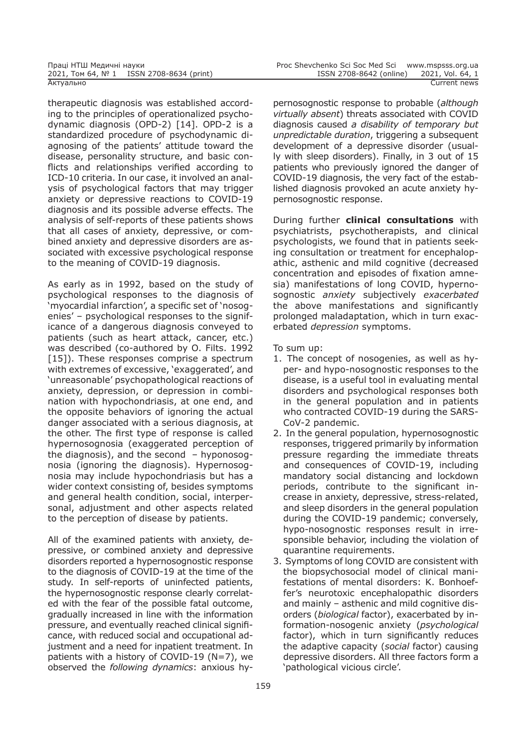therapeutic diagnosis was established according to the principles of operationalized psychodynamic diagnosis (OPD-2) [14]. OPD-2 is a standardized procedure of psychodynamic diagnosing of the patients' attitude toward the disease, personality structure, and basic conflicts and relationships verified according to ICD-10 criteria. In our case, it involved an analysis of psychological factors that may trigger anxiety or depressive reactions to COVID-19 diagnosis and its possible adverse effects. The analysis of self-reports of these patients shows that all cases of anxiety, depressive, or combined anxiety and depressive disorders are associated with excessive psychological response to the meaning of COVID-19 diagnosis.

As early as in 1992, based on the study of psychological responses to the diagnosis of 'myocardial infarction', a specific set of 'nosogenies' – psychological responses to the significance of a dangerous diagnosis conveyed to patients (such as heart attack, cancer, etc.) was described (co-authored by O. Filts. 1992 [15]). These responses comprise a spectrum with extremes of excessive, 'exaggerated', and 'unreasonable' psychopathological reactions of anxiety, depression, or depression in combination with hypochondriasis, at one end, and the opposite behaviors of ignoring the actual danger associated with a serious diagnosis, at the other. The first type of response is called hypernosognosia (exaggerated perception of the diagnosis), and the second  $-$  hyponosognosia (ignoring the diagnosis). Hypernosognosia may include hypochondriasis but has a wider context consisting of, besides symptoms and general health condition, social, interpersonal, adjustment and other aspects related to the perception of disease by patients.

All of the examined patients with anxiety, depressive, or combined anxiety and depressive disorders reported a hypernosognostic response to the diagnosis of COVID-19 at the time of the study. In self-reports of uninfected patients, the hypernosognostic response clearly correlated with the fear of the possible fatal outcome, gradually increased in line with the information pressure, and eventually reached clinical significance, with reduced social and occupational adjustment and a need for inpatient treatment. In patients with a history of COVID-19 (N=7), we observed the *following dynamics*: anxious hypernosognostic response to probable (*although virtually absent*) threats associated with COVID diagnosis caused *a disability of temporary but unpredictable duration*, triggering a subsequent development of a depressive disorder (usually with sleep disorders). Finally, in 3 out of 15 patients who previously ignored the danger of COVID-19 diagnosis, the very fact of the established diagnosis provoked an acute anxiety hypernosognostic response.

During further **clinical consultations** with psychiatrists, psychotherapists, and clinical psychologists, we found that in patients seeking consultation or treatment for encephalopathic, asthenic and mild cognitive (decreased concentration and episodes of fixation amnesia) manifestations of long COVID, hypernosognostіс *anxiety* subjectively *exacerbated* the above manifestations and significantly prolonged maladaptation, which in turn exacerbated *depression* symptoms.

To sum up:

- 1. The concept of nosogenies, as well as hyper- and hypo-nosognostic responses to the disease, is a useful tool in evaluating mental disorders and psychological responses both in the general population and in patients who contracted COVID-19 during the SARS-CoV-2 pandemic.
- 2. In the general population, hypernosognostic responses, triggered primarily by information pressure regarding the immediate threats and consequences of COVID-19, including mandatory social distancing and lockdown periods, contribute to the significant increase in anxiety, depressive, stress-related, and sleep disorders in the general population during the COVID-19 pandemic; conversely, hypo-nosognostic responses result in irresponsible behavior, including the violation of quarantine requirements.
- 3. Symptoms of long COVID are consistent with the biopsychosocial model of clinical manifestations of mental disorders: K. Bonhoeffer's neurotoxic encephalopathic disorders and mainly – asthenic and mild cognitive disorders (*biological* factor), exacerbated by information-nosogenic anxiety (*psychological* factor), which in turn significantly reduces the adaptive capacity (*social* factor) causing depressive disorders. All three factors form a 'pathological vicious circle'.